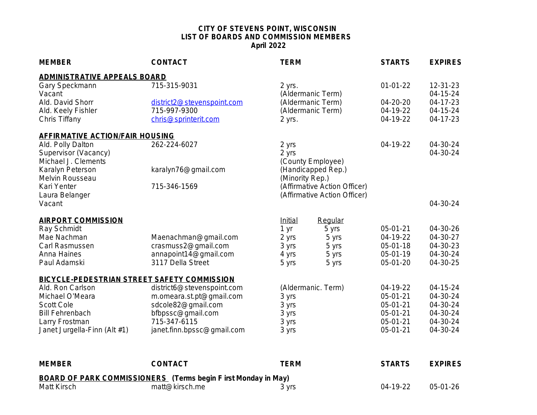## **[CITY OF STEVENS POINT, WISCONSIN](mailto:chris@sprinterit.com) [LIST OF BOARDS AND COMMISSION MEMBER](mailto:chris@sprinterit.com)S [April 2022](mailto:chris@sprinterit.com)**

| <b>MEMBER</b>                               | <b>CONTACT</b>                             | <b>TERM</b>                            | <b>STARTS</b>        |
|---------------------------------------------|--------------------------------------------|----------------------------------------|----------------------|
| <b>ADMINISTRATIVE APPEALS BOARD</b>         |                                            |                                        |                      |
| Gary Speckmann                              | 715-315-9031                               | 2 yrs.                                 | $01-01-22$           |
| Vacant<br>Ald. David Shorr                  |                                            | (Aldermanic Term)<br>(Aldermanic Term) | 04-20-20             |
| Ald. Keely Fishler                          | district2@stevenspoint.com<br>715-997-9300 | (Aldermanic Term)                      | 04-19-22             |
| Chris Tiffany                               | chris@sprinterit.com                       | 2 yrs.                                 | 04-19-22             |
|                                             |                                            |                                        |                      |
| <b>AFFIRMATIVE ACTION/FAIR HOUSING</b>      |                                            |                                        |                      |
| Ald. Polly Dalton                           | 262-224-6027                               | 2 yrs                                  | 04-19-22             |
| Supervisor (Vacancy)<br>Michael J. Clements |                                            | 2 yrs<br>(County Employee)             |                      |
| Karalyn Peterson                            | karalyn76@gmail.com                        | (Handicapped Rep.)                     |                      |
| Melvin Rousseau                             |                                            | (Minority Rep.)                        |                      |
| Kari Yenter                                 | 715-346-1569                               | (Affirmative Action Officer)           |                      |
| Laura Belanger                              |                                            | (Affirmative Action Officer)           |                      |
| Vacant                                      |                                            |                                        |                      |
| <b>AIRPORT COMMISSION</b>                   |                                            | Initial<br>Regular                     |                      |
| Ray Schmidt                                 |                                            | 5 yrs<br>1 yr                          | 05-01-21             |
| Mae Nachman                                 | Maenachman@gmail.com                       | 2 yrs<br>5 yrs                         | 04-19-22             |
| Carl Rasmussen                              | crasmuss2@gmail.com                        | 3 yrs<br>5 yrs                         | 05-01-18             |
| Anna Haines                                 | annapoint14@gmail.com                      | 4 yrs<br>5 yrs                         | 05-01-19             |
| Paul Adamski                                | 3117 Della Street                          | 5 yrs<br>5 yrs                         | 05-01-20             |
| BICYCLE-PEDESTRIAN STREET SAFETY COMMISSION |                                            |                                        |                      |
| Ald. Ron Carlson                            | district6@stevenspoint.com                 | (Aldermanic. Term)                     | 04-19-22             |
| Michael O'Meara                             | m.omeara.st.pt@gmail.com                   | 3 yrs                                  | 05-01-21             |
| Scott Cole                                  | sdcole82@gmail.com                         | 3 yrs                                  | 05-01-21             |
| <b>Bill Fehrenbach</b><br>Larry Frostman    | bfbpssc@gmail.com<br>715-347-6115          | 3 yrs<br>3 yrs                         | 05-01-21<br>05-01-21 |
| Janet Jurgella-Finn (Alt #1)                | janet.finn.bpssc@gmail.com                 | 3 yrs                                  | 05-01-21             |
|                                             |                                            |                                        |                      |
|                                             |                                            |                                        |                      |
| <b>MEMBER</b>                               | <b>CONTACT</b>                             | <b>TERM</b>                            | <b>STARTS</b>        |
|                                             |                                            |                                        |                      |

|             | BOARD OF PARK COMMISSIONERS (Terms begin F irst Monday in May) |            |                        |
|-------------|----------------------------------------------------------------|------------|------------------------|
| Matt Kirsch | matt@kirsch.me                                                 | <b>Vrs</b> | $+19.2^{\circ}$<br>೧4. |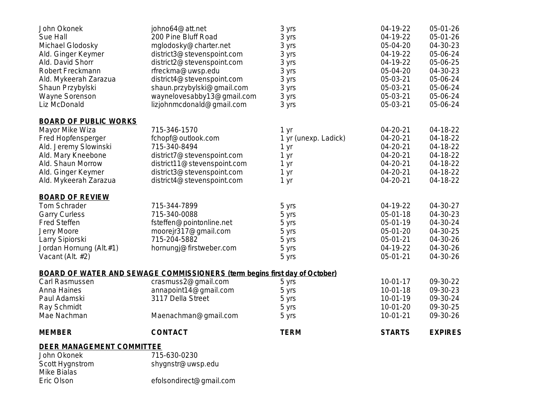| John Okonek<br>Sue Hall<br>Michael Glodosky<br>Ald. Ginger Keymer<br>Ald. David Shorr<br>Robert Freckmann<br>Ald. Mykeerah Zarazua<br>Shaun Przybylski<br>Wayne Sorenson<br>Liz McDonald | johno64@att.net<br>200 Pine Bluff Road<br>mglodosky@charter.net<br>district3@stevenspoint.com<br>district2@stevenspoint.com<br>rfreckma@uwsp.edu<br>district4@stevenspoint.com<br>shaun.przybylski@gmail.com<br>waynelovesabby13@gmail.com<br>lizjohnmcdonald@gmail.com | 3 yrs<br>3 yrs<br>3 yrs<br>3 yrs<br>3 yrs<br>3 yrs<br>3 yrs<br>3 yrs<br>3 yrs<br>3 yrs | 04-19-22<br>04-19-22<br>05-04-20<br>04-19-22<br>04-19-22<br>05-04-20<br>05-03-21<br>05-03-21<br>05-03-21<br>05-03-21 | 05-01-26<br>05-01-26<br>04-30-23<br>05-06-24<br>05-06-25<br>04-30-23<br>05-06-24<br>05-06-24<br>05-06-24<br>05-06-24 |
|------------------------------------------------------------------------------------------------------------------------------------------------------------------------------------------|-------------------------------------------------------------------------------------------------------------------------------------------------------------------------------------------------------------------------------------------------------------------------|----------------------------------------------------------------------------------------|----------------------------------------------------------------------------------------------------------------------|----------------------------------------------------------------------------------------------------------------------|
| <b>BOARD OF PUBLIC WORKS</b><br>Mayor Mike Wiza<br>Fred Hopfensperger<br>Ald. Jeremy Slowinski<br>Ald. Mary Kneebone<br>Ald. Shaun Morrow<br>Ald. Ginger Keymer<br>Ald. Mykeerah Zarazua | 715-346-1570<br>fchopf@outlook.com<br>715-340-8494<br>district7@stevenspoint.com<br>district11@stevenspoint.com<br>district3@stevenspoint.com<br>district4@stevenspoint.com                                                                                             | 1 yr<br>1 yr (unexp. Ladick)<br>1 yr<br>1 yr<br>1 yr<br>1 yr<br>1 yr                   | 04-20-21<br>04-20-21<br>04-20-21<br>04-20-21<br>04-20-21<br>04-20-21<br>04-20-21                                     | 04-18-22<br>04-18-22<br>04-18-22<br>04-18-22<br>04-18-22<br>04-18-22<br>04-18-22                                     |
| <b>BOARD OF REVIEW</b><br>Tom Schrader<br><b>Garry Curless</b><br><b>Fred Steffen</b><br>Jerry Moore<br>Larry Sipiorski<br>Jordan Hornung (Alt.#1)<br>Vacant (Alt. #2)                   | 715-344-7899<br>715-340-0088<br>fsteffen@pointonline.net<br>moorejr317@gmail.com<br>715-204-5882<br>hornungj@firstweber.com                                                                                                                                             | 5 yrs<br>5 yrs<br>5 yrs<br>5 yrs<br>5 yrs<br>5 yrs<br>5 yrs                            | 04-19-22<br>05-01-18<br>05-01-19<br>05-01-20<br>05-01-21<br>04-19-22<br>$05-01-21$                                   | 04-30-27<br>04-30-23<br>04-30-24<br>04-30-25<br>04-30-26<br>04-30-26<br>04-30-26                                     |
| Carl Rasmussen<br>Anna Haines<br>Paul Adamski<br>Ray Schmidt<br>Mae Nachman                                                                                                              | <b>BOARD OF WATER AND SEWAGE COMMISSIONERS (term begins first day of October)</b><br>crasmuss2@gmail.com<br>annapoint14@gmail.com<br>3117 Della Street<br>Maenachman@gmail.com                                                                                          | 5 yrs<br>5 yrs<br>5 yrs<br>5 yrs<br>5 yrs                                              | $10-01-17$<br>$10 - 01 - 18$<br>10-01-19<br>$10-01-20$<br>$10-01-21$                                                 | 09-30-22<br>09-30-23<br>09-30-24<br>09-30-25<br>09-30-26                                                             |
| <b>MEMBER</b>                                                                                                                                                                            | <b>CONTACT</b>                                                                                                                                                                                                                                                          | <b>TERM</b>                                                                            | <b>STARTS</b>                                                                                                        | <b>EXPIRES</b>                                                                                                       |
| <b>DEER MANAGEMENT COMMITTEE</b><br>John Okonek<br>Scott Hygnstrom<br>Mike Bialas<br>Eric Olson                                                                                          | 715-630-0230<br>shygnstr@uwsp.edu<br>efolsondirect@gmail.com                                                                                                                                                                                                            |                                                                                        |                                                                                                                      |                                                                                                                      |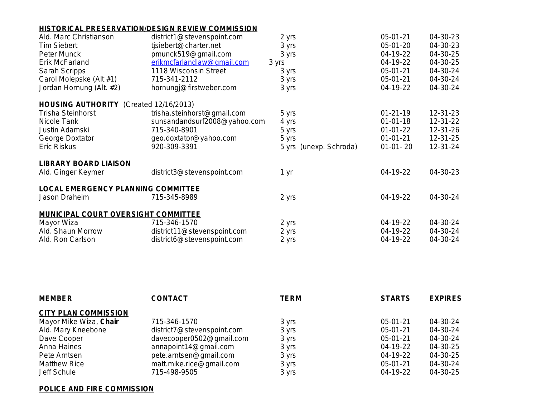## **HISTORICAL PRESERVATION/DESIGN REVIEW COMMISSION**

| Ald. Marc Christianson                        | district1@stevenspoint.com   | 2 yrs                  | 05-01-21       |
|-----------------------------------------------|------------------------------|------------------------|----------------|
| <b>Tim Siebert</b>                            | tjsiebert@charter.net        | 3 yrs                  | 05-01-20       |
| Peter Munck                                   | pmunck519@gmail.com          | 3 yrs                  | 04-19-22       |
| Erik McFarland                                | erikmcfarlandlaw@gmail.com   | 3 yrs                  | 04-19-22       |
| Sarah Scripps                                 | 1118 Wisconsin Street        | 3 yrs                  | 05-01-21       |
| Carol Molepske (Alt #1)                       | 715-341-2112                 | 3 yrs                  | $05 - 01 - 21$ |
| Jordan Hornung (Alt. #2)                      | hornungj@firstweber.com      | 3 yrs                  | 04-19-22       |
| <b>HOUSING AUTHORITY</b> (Created 12/16/2013) |                              |                        |                |
| Trisha Steinhorst                             | trisha.steinhorst@gmail.com  | 5 yrs                  | $01 - 21 - 19$ |
| Nicole Tank                                   | sunsandandsurf2008@yahoo.com | 4 yrs                  | $01 - 01 - 18$ |
| Justin Adamski                                | 715-340-8901                 | 5 yrs                  | $01-01-22$     |
| George Doxtator                               | geo.doxtator@yahoo.com       | 5 yrs                  | $01 - 01 - 21$ |
| Eric Riskus                                   | 920-309-3391                 | 5 yrs (unexp. Schroda) | $01-01-20$     |
| <b>LIBRARY BOARD LIAISON</b>                  |                              |                        |                |
| Ald. Ginger Keymer                            | district3@stevenspoint.com   | 1 yr                   | 04-19-22       |
| <b>LOCAL EMERGENCY PLANNING COMMITTEE</b>     |                              |                        |                |
| Jason Draheim                                 | 715-345-8989                 | 2 yrs                  | 04-19-22       |
| MUNICIPAL COURT OVERSIGHT COMMITTEE           |                              |                        |                |
| Mayor Wiza                                    | 715-346-1570                 | 2 yrs                  | 04-19-22       |
| Ald. Shaun Morrow                             | district11@stevenspoint.com  | 2 yrs                  | 04-19-22       |
| Ald. Ron Carlson                              | district6@stevenspoint.com   | 2 yrs                  | 04-19-22       |
|                                               |                              |                        |                |

| <b>CITY PLAN COMMISSION</b>                                             |  |
|-------------------------------------------------------------------------|--|
| Mayor Mike Wiza, Chair<br>715-346-1570<br>$05-01-21$<br>3 yrs           |  |
| Ald. Mary Kneebone<br>district7@stevenspoint.com<br>$05-01-21$<br>3 yrs |  |
| Dave Cooper<br>05-01-21<br>davecooper0502@gmail.com<br>3 yrs            |  |
| 04-19-22<br>Anna Haines<br>annapoint14@gmail.com<br>3 yrs               |  |
| pete.arntsen@gmail.com<br>04-19-22<br>Pete Arntsen<br>3 yrs             |  |
| matt.mike.rice@gmail.com<br>$05-01-21$<br><b>Matthew Rice</b><br>3 yrs  |  |
| $04-19-22$<br>Jeff Schule<br>715-498-9505<br>3 yrs                      |  |

## **POLICE AND FIRE COMMISSION**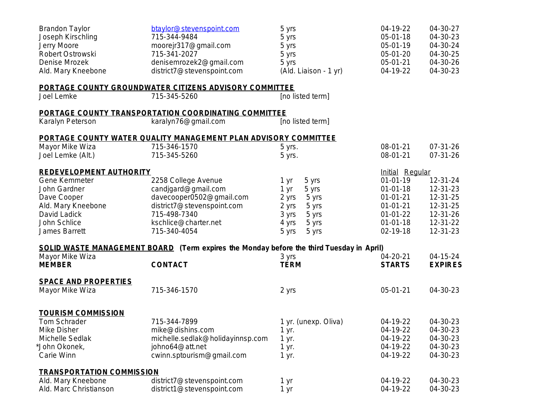| <b>Brandon Taylor</b>            | btaylor@stevenspoint.com                                                                 | 5 yrs                 | 04-19-22       |
|----------------------------------|------------------------------------------------------------------------------------------|-----------------------|----------------|
| Joseph Kirschling                | 715-344-9484                                                                             | 5 yrs                 | 05-01-18       |
| Jerry Moore                      | moorejr317@gmail.com                                                                     | 5 yrs                 | 05-01-19       |
| Robert Ostrowski                 | 715-341-2027                                                                             | 5 yrs                 | 05-01-20       |
| Denise Mrozek                    | denisemrozek2@gmail.com                                                                  | 5 yrs                 | 05-01-21       |
| Ald. Mary Kneebone               | district7@stevenspoint.com                                                               | (Ald. Liaison - 1 yr) | 04-19-22       |
|                                  | <b>PORTAGE COUNTY GROUNDWATER CITIZENS ADVISORY COMMITTEE</b>                            |                       |                |
| Joel Lemke                       | 715-345-5260                                                                             | [no listed term]      |                |
|                                  | PORTAGE COUNTY TRANSPORTATION COORDINATING COMMITTEE                                     |                       |                |
| Karalyn Peterson                 | karalyn76@gmail.com                                                                      | [no listed term]      |                |
|                                  | PORTAGE COUNTY WATER QUALITY MANAGEMENT PLAN ADVISORY COMMITTEE                          |                       |                |
| Mayor Mike Wiza                  | 715-346-1570                                                                             | 5 yrs.                | 08-01-21       |
| Joel Lemke (Alt.)                | 715-345-5260                                                                             | 5 yrs.                | 08-01-21       |
| <b>REDEVELOPMENT AUTHORITY</b>   |                                                                                          |                       | Initial Red    |
| Gene Kemmeter                    | 2258 College Avenue                                                                      | 5 yrs<br>1 yr         | $01 - 01 - 19$ |
| John Gardner                     | candjgard@gmail.com                                                                      | 5 yrs<br>1 yr         | $01 - 01 - 18$ |
| Dave Cooper                      | davecooper0502@gmail.com                                                                 | 2 yrs<br>5 yrs        | $01 - 01 - 21$ |
| Ald. Mary Kneebone               | district7@stevenspoint.com                                                               | 2 yrs<br>5 yrs        | $01 - 01 - 21$ |
| David Ladick                     | 715-498-7340                                                                             | 3 yrs<br>5 yrs        | $01 - 01 - 22$ |
| John Schlice                     | kschlice@charter.net                                                                     | 4 yrs<br>5 yrs        | $01 - 01 - 18$ |
| James Barrett                    | 715-340-4054                                                                             | 5 yrs<br>5 yrs        | 02-19-18       |
|                                  |                                                                                          |                       |                |
| Mayor Mike Wiza                  | SOLID WASTE MANAGEMENT BOARD (Term expires the Monday before the third Tuesday in April) | 3 yrs                 | 04-20-21       |
| <b>MEMBER</b>                    | <b>CONTACT</b>                                                                           | <b>TERM</b>           | <b>STARTS</b>  |
| <b>SPACE AND PROPERTIES</b>      |                                                                                          |                       |                |
| Mayor Mike Wiza                  | 715-346-1570                                                                             | 2 yrs                 | 05-01-21       |
|                                  |                                                                                          |                       |                |
| <b>TOURISM COMMISSION</b>        |                                                                                          |                       |                |
| Tom Schrader                     | 715-344-7899                                                                             | 1 yr. (unexp. Oliva)  | 04-19-22       |
| Mike Disher                      | mike@dishins.com                                                                         | 1 yr.                 | 04-19-22       |
| Michelle Sedlak                  | michelle.sedlak@holidayinnsp.com                                                         | 1 yr.                 | 04-19-22       |
| *John Okonek,                    | johno64@att.net                                                                          | 1 yr.                 | 04-19-22       |
| Carie Winn                       | cwinn.sptourism@gmail.com                                                                | 1 yr.                 | 04-19-22       |
| <b>TRANSPORTATION COMMISSION</b> |                                                                                          |                       |                |
| Ald. Mary Kneebone               | district7@stevenspoint.com                                                               | 1 yr                  | 04-19-22       |
| Ald. Marc Christianson           | district1@stevenspoint.com                                                               | 1 yr                  | 04-19-22       |